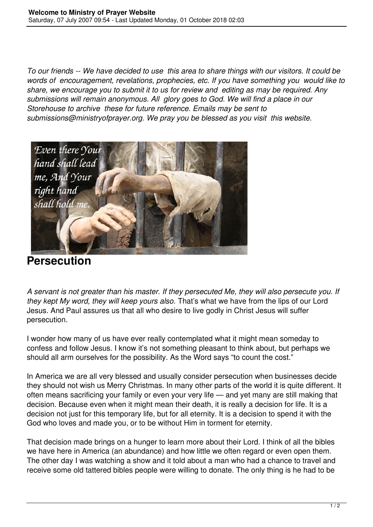*To our friends -- We have decided to use this area to share things with our visitors. It could be words of encouragement, revelations, prophecies, etc. If you have something you would like to share, we encourage you to submit it to us for review and editing as may be required. Any submissions will remain anonymous. All glory goes to God. We will find a place in our Storehouse to archive these for future reference. Emails may be sent to submissions@ministryofprayer.org. We pray you be blessed as you visit this website.*



**Persecution**

*A servant is not greater than his master. If they persecuted Me, they will also persecute you. If they kept My word, they will keep yours also.* That's what we have from the lips of our Lord Jesus. And Paul assures us that all who desire to live godly in Christ Jesus will suffer persecution.

I wonder how many of us have ever really contemplated what it might mean someday to confess and follow Jesus. I know it's not something pleasant to think about, but perhaps we should all arm ourselves for the possibility. As the Word says "to count the cost."

In America we are all very blessed and usually consider persecution when businesses decide they should not wish us Merry Christmas. In many other parts of the world it is quite different. It often means sacrificing your family or even your very life — and yet many are still making that decision. Because even when it might mean their death, it is really a decision for life. It is a decision not just for this temporary life, but for all eternity. It is a decision to spend it with the God who loves and made you, or to be without Him in torment for eternity.

That decision made brings on a hunger to learn more about their Lord. I think of all the bibles we have here in America (an abundance) and how little we often regard or even open them. The other day I was watching a show and it told about a man who had a chance to travel and receive some old tattered bibles people were willing to donate. The only thing is he had to be